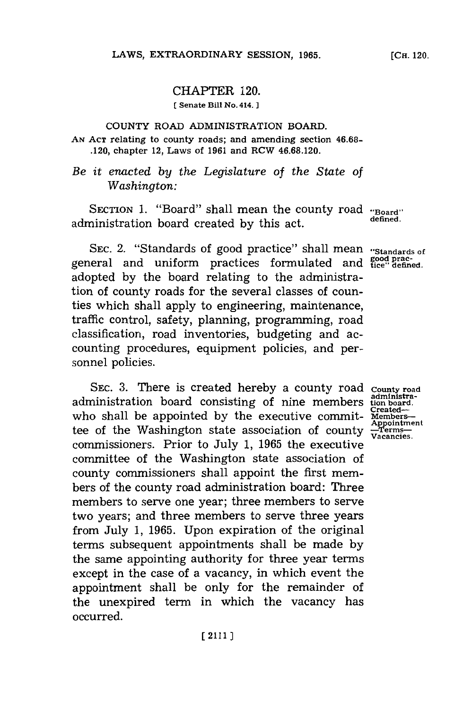## CHAPTER 120.

**(** Senate Bill No. 414. **]**

## **COUNTY** ROAD ADMINISTRATION BOARD. **AN ACT** relating to county roads; and amending section **46.68-** .120, chapter 12, Laws of **1961** and RCW **46.68.120.**

## *Be it enacted by the Legislature of the State of Washington:*

SECTION **1.** "Board" shall mean the county road **"Board"** administration board created by this act.

SEC. 2. "Standards of good practice" shall mean "standards of general and uniform practices formulated and **good** pracadopted **by** the board relating to the administration of county roads for the several classes of counties which shall apply to engineering, maintenance, traffic control, safety, planning, programming, road classification, road inventories, budgeting and accounting procedures, equipment policies, and personnel policies.

**SEC. 3.** There is created hereby a county road administration board consisting of nine members who shall be appointed by the executive committee of the Washington state association of county **-Terms-Vacancies.** commissioners. Prior to July **1, 1965** the executive committee of the Washington state association of county commissioners shall appoint the first members of the county road administration board: Three members to serve one year; three members to serve two years; and three members to serve three years from July **1, 1965.** Upon expiration of the original terms subsequent appointments shall be made **by** the same appointing authority for three year terms except in the case of a vacancy, in which event the appointment shall be only for the remainder of the unexpired term in which the vacancy has occurred.

**County road administra-tion board. Created-Appointment**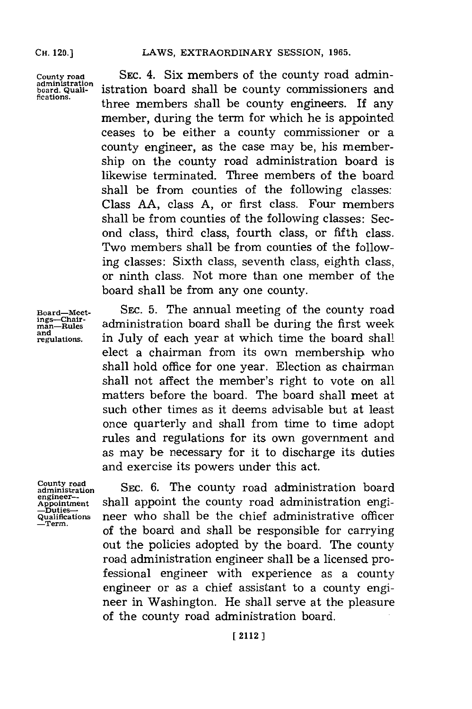**CH.** 120.]

**County road administration board. Qualifications.**

SEC. 4. Six members of the county road administration board shall be county commissioners and three members shall be county engineers. If any member, during the term for which he is appointed ceases to be either a county commissioner or a county engineer, as the case may be, his membership on the county road administration board is likewise terminated. Three members of the board shall be from counties of the following classes: Class **AA,** class **A,** or first class. Four members shall be from counties of the following classes: Second class, third class, fourth class, or fifth class. Two members shall be from counties of the following classes: Sixth class, seventh class, eighth class, or ninth class. Not more than one member of the board shall be from any one county.

**Board-Meet-ings-Chair-man-Rules and regulations.**

SEC. **5.** The annual meeting of the county road administration board shall be during the first week in July of each year at which time the board shall elect a chairman from its own membership who shall hold office for one year. Election as chairman shall not affect the member's right to vote on all matters before the board. The board shall meet at such other times as it deems advisable but at least once quarterly and shall from time to time adopt rules and regulations for its own govermnent and as may be necessary for it to discharge its duties and exercise its powers under this act.

**County road administration engineer-Appointment -Dutie-Qualifications -Term.**

SEc. **6.** The county road administration board shall appoint the county road administration engineer who shall be the chief administrative officer of the board and shall be responsible for carrying out the policies adopted **by** the board. The county road administration engineer shall be a licensed professional engineer with experience as a county engineer or as a chief assistant to a county engineer in Washington. He shall serve at the pleasure of the county road administration board.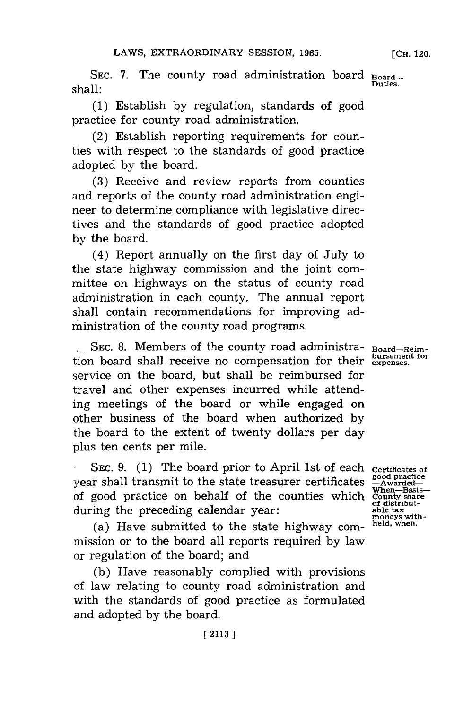SEC. 7. The county road administration board **Board**shall: **Duties.**

**(1)** Establish **by** regulation, standards of good practice for county road administration.

(2) Establish reporting requirements for counties with respect to the standards of good practice adopted **by** the board.

**(3)** Receive and review reports from counties and reports of the county road administration engineer to determine compliance with legislative directives and the standards of good practice adopted **by** the board.

(4) Report annually on the first day of July to the state highway commission and the joint committee on highways on the status of county road administration in each county. The annual report shall contain recommendations for improving administration of the county road programs.

**1111** Sec. 8. Members of the county road administration board shall receive no compensation for their **bursement for expenses.** service on the board, but shall be reimbursed for travel and other expenses incurred while attending meetings of the board or while engaged on other business of the board when authorized **by** the board to the extent of twenty dollars per day plus ten cents per mile.

SEC. 9. (1) The board prior to April 1st of each certificates of year shall transmit to the state treasurer certificates of good practice on behalf of the counties which during the preceding calendar year:

(a) Have submitted to the state highway commission or to the board all reports required **by** law or regulation of the board; and

**(b)** Have reasonably complied with provisions of law relating to county road administration and with the standards of good practice as formulated and adopted **by** the board.

**Board-Reim-**

**good practice -Awarded-When-Basis-County share of distributable tax moneys with-held, when.**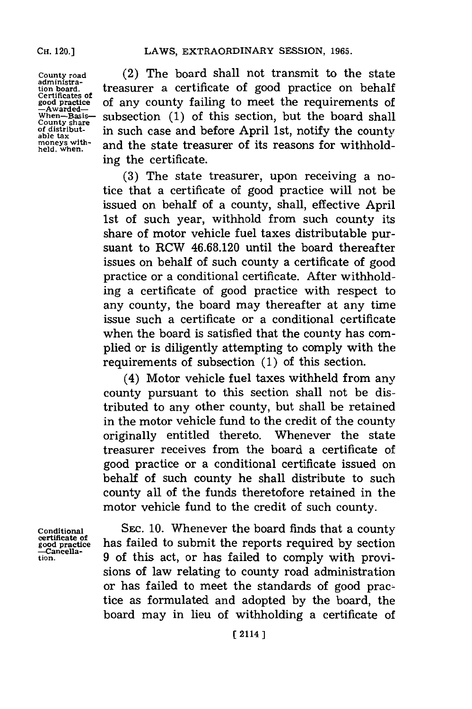**County road administration board. Certificates of good practice -Awarded-When-Basis-County share of distributable tax moneys with-held, when.**

(2) The board shall not transmit to the state treasurer a certificate of good practice on behalf of any county failing to meet the requirements of subsection **(1)** of this section, but the board shall in such case and before April 1st, notify the county and the state treasurer of its reasons for withholding the certificate.

**(3)** The state treasurer, upon receiving a notice that a certificate of good practice will not be issued on behalf of a county, shall, effective April 1st of such year, withhold from such county its share of motor vehicle fuel taxes distributable pursuant to RCW **46.68.120** until the board thereafter issues on behalf of such county a certificate of good practice or a conditional certificate. After withholding a certificate of good practice with respect to any county, the board may thereafter at any time issue such a certificate or a conditional certificate when the board is satisfied that the county has complied or is diligently attempting to comply with the requirements of subsection **(1)** of this section.

(4) Motor vehicle fuel taxes withheld from any county pursuant to this section shall not be distributed to any other county, but shall be retained in the motor vehicle fund to the credit of the county originally entitled thereto. Whenever the state treasurer receives from the board a certificate of good practice or a conditional certificate issued on behalf of such county he shall distribute to such county all of the funds theretofore retained in the motor vehicle fund to the credit of such county.

**Conditional certificate of good practice -Cancellation.**

SEC. 10. Whenever the board finds that a county has failed to submit the reports required **by** section **9** of this act, or has failed to comply with provisions of law relating to county road administration or has failed to meet the standards of good practice as formulated and adopted **by** the board, the board may in lieu of withholding a certificate of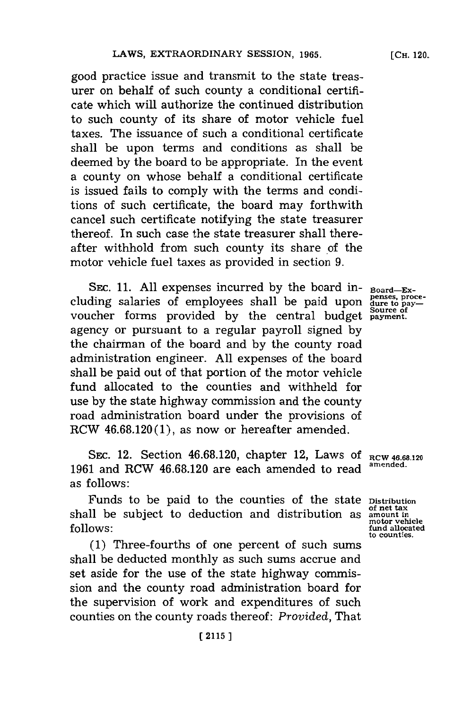good practice issue and transmit to the state treasurer on behalf of such county a conditional certificate which will authorize the continued distribution to such county of its share of motor vehicle fuel taxes. The issuance of such a conditional certificate shall be upon terms and conditions as shall be deemed **by** the board to be appropriate. In the event a county on whose behalf a conditional certificate is issued fails to comply with the terms and conditions of such certificate, the board may forthwith cancel such certificate notifying the state treasurer thereof. In such case the state treasurer shall thereafter withhold from such county its share of the motor vehicle fuel taxes as provided in section **9.**

SEc. **11. All** expenses incurred **by** the board including salaries of employees shall be paid upon voucher forms provided by the central budget source of agency or pursuant to a regular payroll signed **by** the chairman of the board and **by** the county road administration engineer. **All** expenses of the board shall be paid out of that portion of the motor vehicle fund allocated to the counties and withheld for use **by** the state highway commission and the county road administration board under the provisions of RCW **46.68.120(l),** as now or hereafter amended.

SEC. 12. Section 46.68.120, chapter 12, Laws of RCW 46.68.120 **1961** and RCW **46.68.120** are each amended to read as follows:

Funds to be paid to the counties of the state **Distribution** shall be subject to deduction and distribution as **amount in follows:**

**(1)** Three-fourths of one percent of such sums shall be deducted monthly as such sums accrue and set aside for the use of the state highway commission and the county road administration board for the supervision of work and expenditures of such counties on the county roads thereof: *Provided,* That

**Board-Expenses, proce-dure to pay- Source of**

**amended.**

**of net tax motor vehicle fund allocated to counties.**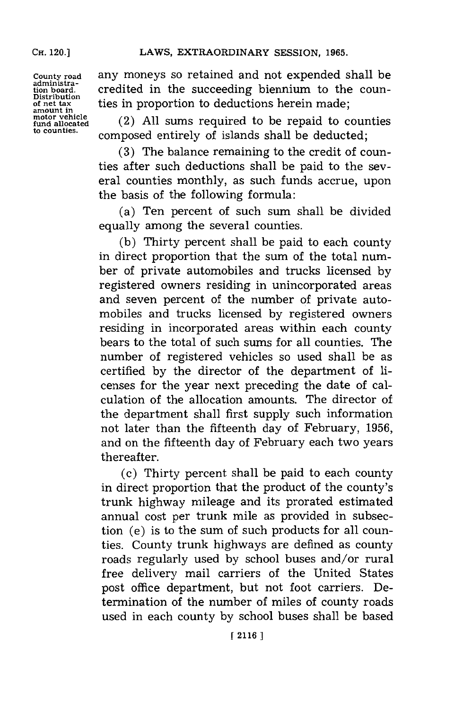**County road administration board. Distribution of net tax amount in motor vehicle fund allocated to counties.**

**CH.** 120.]

any moneys so retained and not expended shall be credited in the succeeding biennium to the counties in proportion to deductions herein made;

(2) **All** sums required to be repaid to counties composed entirely of islands shall be deducted;

**(3)** The balance remaining to the credit of counties after such deductions shall be paid to the several counties monthly, as such funds accrue, upon the basis of the following formula:

(a) Ten percent of such sum shall be divided equally among the several counties.

**(b)** Thirty percent shall be paid to each county in direct proportion that the sum of the total number of private automobiles and trucks licensed **by** registered owners residing in unincorporated areas and seven percent of the number of private automobiles and trucks licensed **by** registered owners residing in incorporated areas within each county bears to the total of such sums for all counties. The number of registered vehicles so used shall be as certified **by** the director of the department of licenses for the year next preceding the date of calculation of the allocation amounts. The director of the department shall first supply such information not later than the fifteenth day of February, **1956,** and on the fifteenth day of February each two years thereafter.

(c) Thirty percent shall be paid to each county in direct proportion that the product of the county's trunk highway mileage and its prorated estimated annual cost per trunk mile as provided in subsection (e) is to the sum of such products for all counties. County trunk highways are defined as county roads regularly used **by** school buses and/or rural free delivery mail carriers of the United States post office department, but not foot carriers. Determination of the number of miles of county roads used in each county **by** school buses shall be based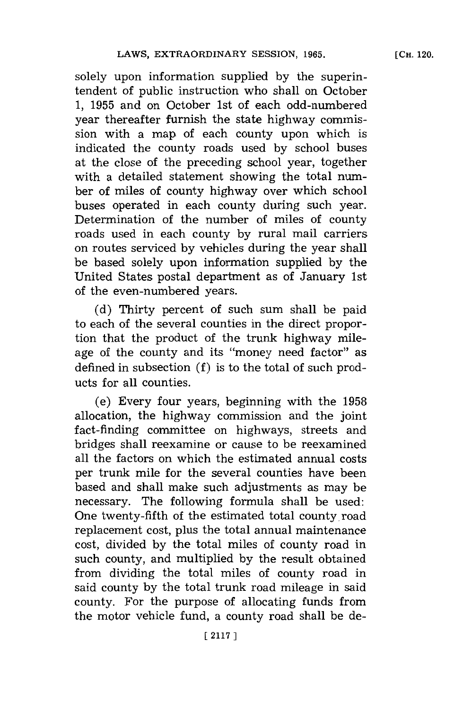solely upon information supplied **by** the superintendent of public instruction who shall on October **1, 1955** and on October 1st of each odd-numbered year thereafter furnish the state highway commission with a map of each county upon which is indicated the county roads used **by** school buses at the close of the preceding school year, together with a detailed statement showing the total number of miles of county highway over which school buses operated in each county during such year. Determination of the number of miles of county roads used in each county **by** rural mail carriers on routes serviced **by** vehicles during the year shall be based solely upon information supplied **by** the United States postal department as of January 1st of the even-numbered years.

**(d)** Thirty percent of such sum shall be paid to each of the several counties in the direct proportion that the product of the trunk highway mileage of the county and its "money need factor" as defined in subsection **(f)** is to the total of such products for all counties.

(e) Every four years, beginning with the **1958** allocation, the highway commission and the joint fact-finding committee on highways, streets and bridges shall reexamine or cause to be reexamined all the factors on which the estimated annual costs per trunk mile for the several counties have been based and shall make such adjustments as may be necessary. The following formula shall be used: One twenty-fifth of the estimated total county road replacement cost, plus the total annual maintenance cost, divided **by** the total miles of county road in such county, and multiplied **by** the result obtained from dividing the total miles of county road in said county **by** the total trunk road mileage in said county. For the purpose of allocating funds from the motor vehicle fund, a county road shall be de-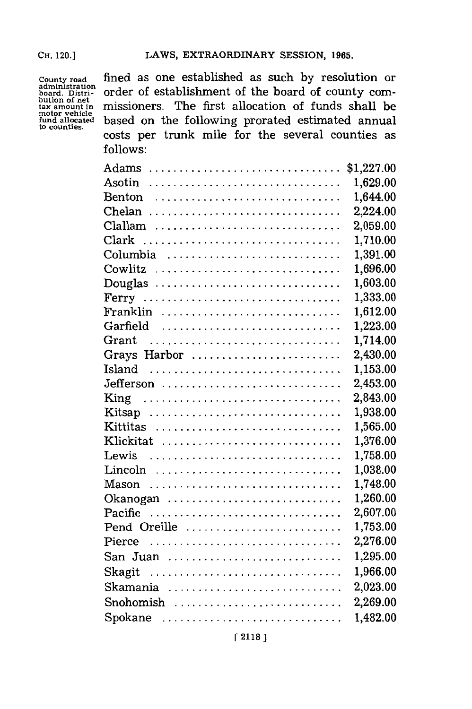**adiitration bution of net motor vehicle to counties.**

fined as one established as such by resolution or order of establishment of the board of county com**tax amount in** missioners. The first allocation of funds shall be based on the following prorated estimated annual costs per trunk mile for the several counties as **follows:**

|              | \$1,227.00 |
|--------------|------------|
|              | 1,629.00   |
| Benton       | 1,644.00   |
| Chelan       | 2,224.00   |
| Clallam      | 2,059.00   |
| Clark        | 1,710.00   |
| Columbia     | 1,391.00   |
| Cowlitz      | 1,696.00   |
| Douglas      | 1,603.00   |
| Ferry        | 1,333.00   |
| Franklin     | 1,612.00   |
| Garfield     | 1,223.00   |
| Grant        | 1,714.00   |
| Grays Harbor | 2,430.00   |
| Island       | 1,153.00   |
| Jefferson    | 2,453.00   |
| King         | 2,843.00   |
| Kitsap       | 1,938.00   |
| Kittitas     | 1,565.00   |
| Klickitat    | 1,376.00   |
| Lewis        | 1,758.00   |
| Lincoln      | 1,038.00   |
|              | 1,748.00   |
| Okanogan     | 1,260.00   |
| Pacific      | 2,607.00   |
| Pend Oreille | 1,753.00   |
| Pierce       | 2,276.00   |
| San Juan     | 1,295.00   |
| Skagit       | 1,966.00   |
| Skamania     | 2,023.00   |
|              | 2,269.00   |
| Spokane      | 1,482.00   |
|              |            |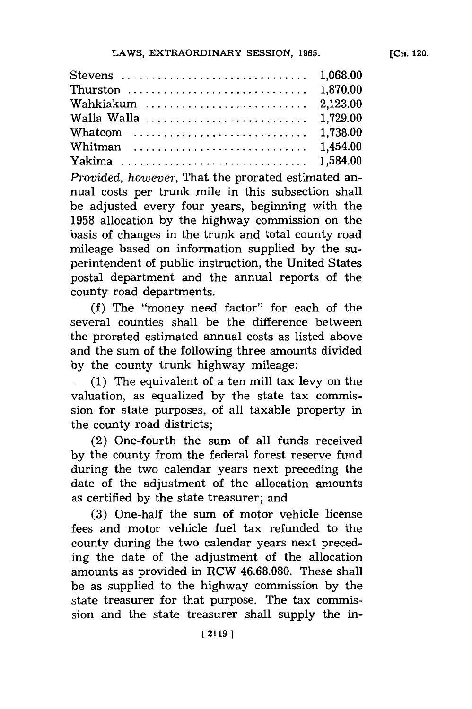| Whitman  1,454.00 |  |
|-------------------|--|
|                   |  |

*Provided, however,* That the prorated estimated annual costs per trunk mile in this subsection shall be adjusted every four years, beginning with the **1958** allocation **by** the highway commission on the basis of changes in the trunk and total county road mileage based on information supplied **by.** the superintendent of public instruction, the United States postal department and the annual reports of the county road departments.

**(f)** The "money need factor" for each of the several counties shall be the difference between the prorated estimated annual costs as listed above and the sum of the following three amounts divided **by** the county trunk highway mileage:

**1(1)** The equivalent of a ten mill tax levy on the valuation, as equalized **by** the state tax commission for state purposes, of all taxable property in the county road districts;

(2) One-fourth the sum of all funds received **by** the county from the federal forest reserve fund during the two calendar years next preceding the date of the adjustment of the allocation amounts as certified **by** the state treasurer; and

**(3)** One-half the sum of motor vehicle license fees and motor vehicle fuel tax refunded to the county during the two calendar years next preceding the date of the adjustment of the allocation amounts as provided in RCW **46.68.080.** These shall be as supplied to the highway commission **by** the state treasurer for that purpose. The tax commission and the state treasurer shall supply the in-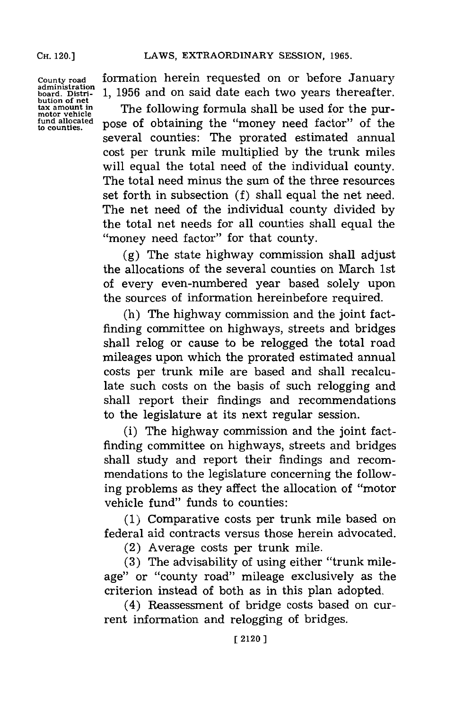**County road administration board. Distri-but ion of net tax amount in motor vehicle fund allocated to counties.**

formation herein requested on or before January **1, 1956** and on said date each two years thereafter.

The following formula shall be used for the purpose of obtaining the "money need factor" of the several counties: The prorated estimated annual cost per trunk mile multiplied **by** the trunk miles will equal the total need of the individual county. The total need minus the sum of the three resources set forth in subsection **(f)** shall equal the net need. The net need of the individual county divided **by** the total net needs for all counties shall equal the "money need factor" for that county.

**(g)** The state highway commission shall adjust the allocations of the several counties on March 1st of every even-numbered year based solely upon the sources of information hereinbefore required.

(h) The highway commission and the joint factfinding committee on highways, streets and bridges shall relog or cause to be relogged the total road mileages upon which the prorated estimated annual costs per trunk mile are based and shall recalculate such costs on the basis of such relogging and shall report their findings and recommendations to the legislature at its next regular session.

(i) The highway commission and the joint factfinding committee on highways, streets and bridges shall study and report their findings and recommendations to the legislature concerning the following problems as they affect the allocation of "motor vehicle fund" funds to counties:

**(1)** Comparative costs per trunk mile based on federal aid contracts versus those herein advocated.

(2) Average costs per trunk mile.

**(3)** The advisability of using either "trunk mileage" or "county road" mileage exclusively as the criterion instead of both as in this plan adopted.

(4) Reassessment of bridge costs based on current information and relogging of bridges.